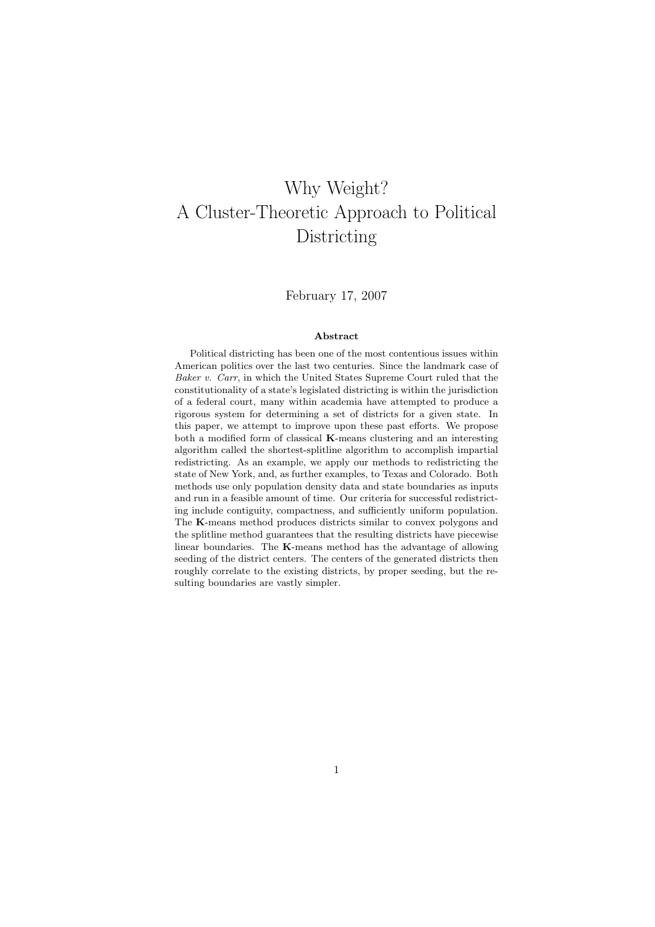# Why Weight? A Cluster-Theoretic Approach to Political Districting

### February 17, 2007

#### Abstract

Political districting has been one of the most contentious issues within American politics over the last two centuries. Since the landmark case of Baker v. Carr, in which the United States Supreme Court ruled that the constitutionality of a state's legislated districting is within the jurisdiction of a federal court, many within academia have attempted to produce a rigorous system for determining a set of districts for a given state. In this paper, we attempt to improve upon these past efforts. We propose both a modified form of classical K-means clustering and an interesting algorithm called the shortest-splitline algorithm to accomplish impartial redistricting. As an example, we apply our methods to redistricting the state of New York, and, as further examples, to Texas and Colorado. Both methods use only population density data and state boundaries as inputs and run in a feasible amount of time. Our criteria for successful redistricting include contiguity, compactness, and sufficiently uniform population. The K-means method produces districts similar to convex polygons and the splitline method guarantees that the resulting districts have piecewise linear boundaries. The K-means method has the advantage of allowing seeding of the district centers. The centers of the generated districts then roughly correlate to the existing districts, by proper seeding, but the resulting boundaries are vastly simpler.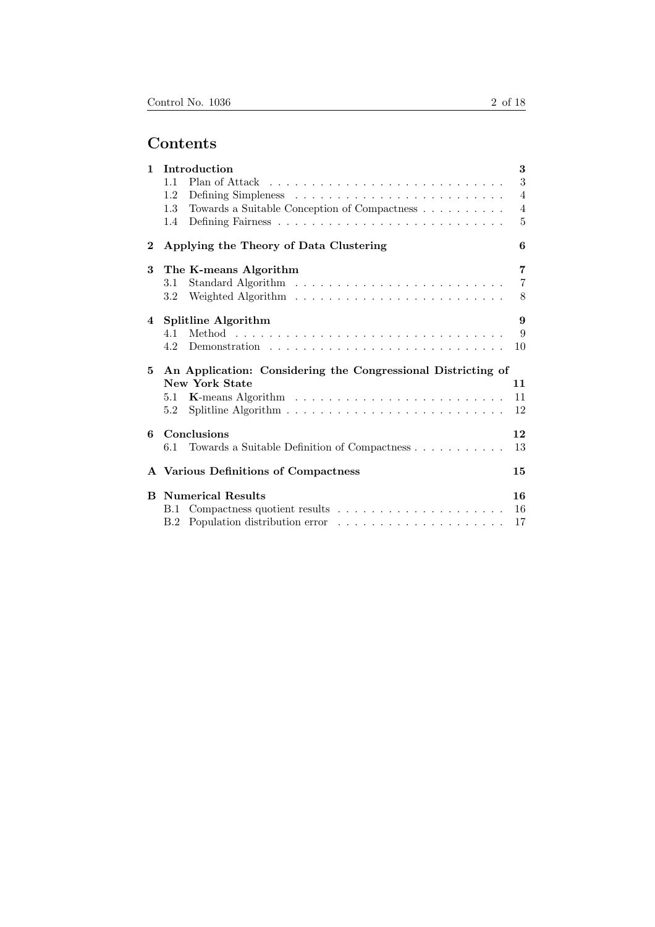| $\mathbf{1}$ | Introduction                                                 | 3                     |
|--------------|--------------------------------------------------------------|-----------------------|
|              | 11                                                           | 3                     |
|              | 1.2                                                          | $\overline{4}$        |
|              | Towards a Suitable Conception of Compactness<br>1.3          | $\overline{4}$        |
|              | 1.4                                                          | $\overline{5}$        |
| $\bf{2}$     | Applying the Theory of Data Clustering                       | 6                     |
| 3            | The K-means Algorithm                                        | $\overline{7}$        |
|              | 3.1                                                          | $\overline{7}$        |
|              | 3.2                                                          | 8                     |
| 4            | <b>Splitline Algorithm</b>                                   | $\boldsymbol{\Omega}$ |
|              | 4.1                                                          | 9                     |
|              | 4.2                                                          | 10                    |
| 5            | An Application: Considering the Congressional Districting of |                       |
|              | <b>New York State</b>                                        | 11                    |
|              | 5.1                                                          | 11                    |
|              | 5.2                                                          | 12                    |
| 6            | Conclusions                                                  | 12                    |
|              | 6.1                                                          | 13                    |
|              | A Various Definitions of Compactness                         | 15                    |
| <sub>B</sub> | <b>Numerical Results</b>                                     | 16                    |
|              | B.1                                                          | 16                    |
|              |                                                              | 17                    |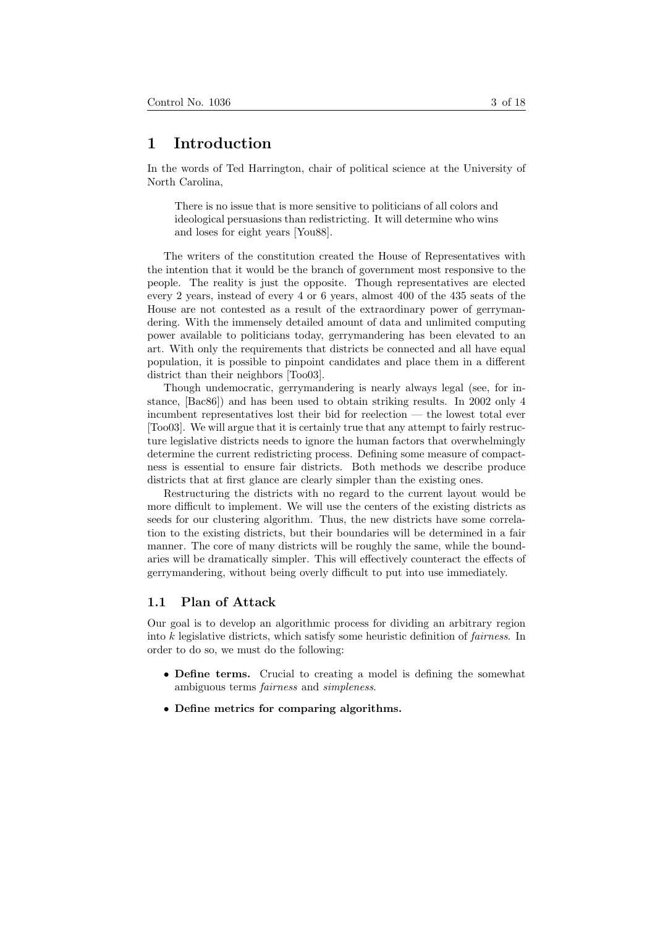# 1 Introduction

In the words of Ted Harrington, chair of political science at the University of North Carolina,

There is no issue that is more sensitive to politicians of all colors and ideological persuasions than redistricting. It will determine who wins and loses for eight years [You88].

The writers of the constitution created the House of Representatives with the intention that it would be the branch of government most responsive to the people. The reality is just the opposite. Though representatives are elected every 2 years, instead of every 4 or 6 years, almost 400 of the 435 seats of the House are not contested as a result of the extraordinary power of gerrymandering. With the immensely detailed amount of data and unlimited computing power available to politicians today, gerrymandering has been elevated to an art. With only the requirements that districts be connected and all have equal population, it is possible to pinpoint candidates and place them in a different district than their neighbors [Too03].

Though undemocratic, gerrymandering is nearly always legal (see, for instance, [Bac86]) and has been used to obtain striking results. In 2002 only 4 incumbent representatives lost their bid for reelection — the lowest total ever [Too03]. We will argue that it is certainly true that any attempt to fairly restructure legislative districts needs to ignore the human factors that overwhelmingly determine the current redistricting process. Defining some measure of compactness is essential to ensure fair districts. Both methods we describe produce districts that at first glance are clearly simpler than the existing ones.

Restructuring the districts with no regard to the current layout would be more difficult to implement. We will use the centers of the existing districts as seeds for our clustering algorithm. Thus, the new districts have some correlation to the existing districts, but their boundaries will be determined in a fair manner. The core of many districts will be roughly the same, while the boundaries will be dramatically simpler. This will effectively counteract the effects of gerrymandering, without being overly difficult to put into use immediately.

#### 1.1 Plan of Attack

Our goal is to develop an algorithmic process for dividing an arbitrary region into  $k$  legislative districts, which satisfy some heuristic definition of *fairness*. In order to do so, we must do the following:

- Define terms. Crucial to creating a model is defining the somewhat ambiguous terms fairness and simpleness.
- Define metrics for comparing algorithms.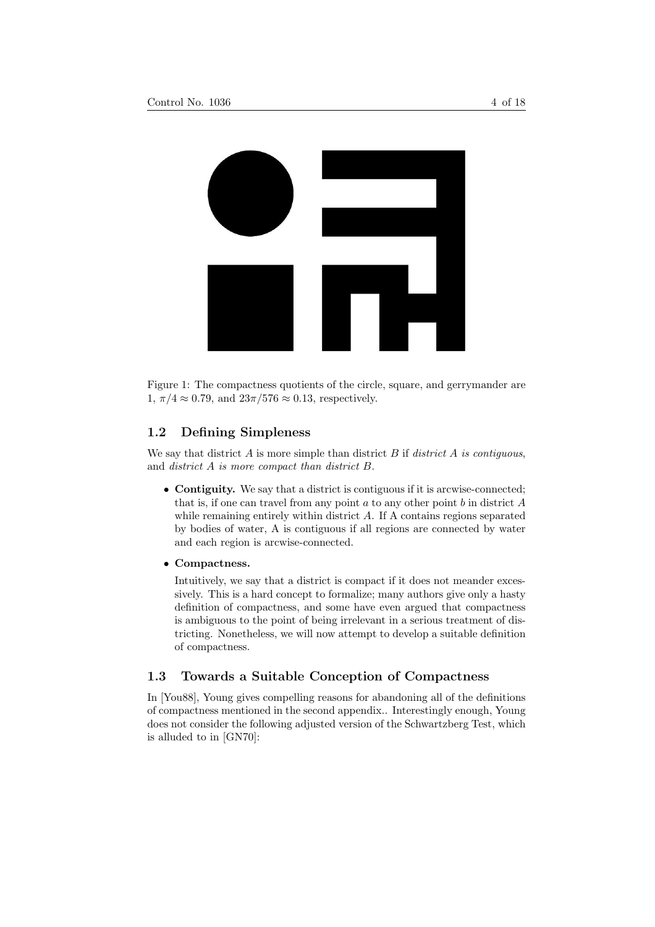

Figure 1: The compactness quotients of the circle, square, and gerrymander are  $1, \pi/4 \approx 0.79$ , and  $23\pi/576 \approx 0.13$ , respectively.

### 1.2 Defining Simpleness

We say that district A is more simple than district B if district A is contiguous, and district A is more compact than district B.

- Contiguity. We say that a district is contiguous if it is arcwise-connected; that is, if one can travel from any point  $a$  to any other point  $b$  in district  $A$ while remaining entirely within district  $A$ . If A contains regions separated by bodies of water, A is contiguous if all regions are connected by water and each region is arcwise-connected.
- Compactness.

Intuitively, we say that a district is compact if it does not meander excessively. This is a hard concept to formalize; many authors give only a hasty definition of compactness, and some have even argued that compactness is ambiguous to the point of being irrelevant in a serious treatment of districting. Nonetheless, we will now attempt to develop a suitable definition of compactness.

### 1.3 Towards a Suitable Conception of Compactness

In [You88], Young gives compelling reasons for abandoning all of the definitions of compactness mentioned in the second appendix.. Interestingly enough, Young does not consider the following adjusted version of the Schwartzberg Test, which is alluded to in [GN70]: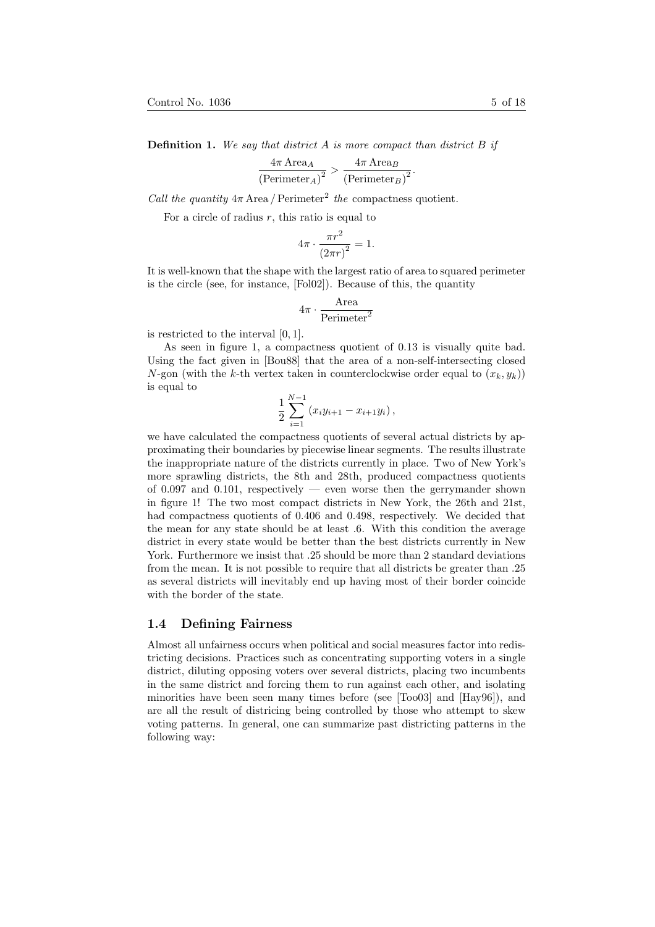$$
\frac{4\pi \operatorname{Area}_A}{\left(\operatorname{Perimeter}_A\right)^2} > \frac{4\pi \operatorname{Area}_B}{\left(\operatorname{Perimeter}_B\right)^2}.
$$

Call the quantity  $4\pi$  Area / Perimeter<sup>2</sup> the compactness quotient.

For a circle of radius  $r$ , this ratio is equal to

$$
4\pi \cdot \frac{\pi r^2}{\left(2\pi r\right)^2} = 1.
$$

It is well-known that the shape with the largest ratio of area to squared perimeter is the circle (see, for instance, [Fol02]). Because of this, the quantity

$$
4\pi \cdot \frac{\text{Area}}{\text{Perimeter}^2}
$$

is restricted to the interval [0, 1].

As seen in figure 1, a compactness quotient of 0.13 is visually quite bad. Using the fact given in [Bou88] that the area of a non-self-intersecting closed N-gon (with the k-th vertex taken in counterclockwise order equal to  $(x_k, y_k)$ ) is equal to

$$
\frac{1}{2}\sum_{i=1}^{N-1} (x_iy_{i+1} - x_{i+1}y_i),
$$

we have calculated the compactness quotients of several actual districts by approximating their boundaries by piecewise linear segments. The results illustrate the inappropriate nature of the districts currently in place. Two of New York's more sprawling districts, the 8th and 28th, produced compactness quotients of 0.097 and 0.101, respectively — even worse then the gerrymander shown in figure 1! The two most compact districts in New York, the 26th and 21st, had compactness quotients of 0.406 and 0.498, respectively. We decided that the mean for any state should be at least .6. With this condition the average district in every state would be better than the best districts currently in New York. Furthermore we insist that .25 should be more than 2 standard deviations from the mean. It is not possible to require that all districts be greater than .25 as several districts will inevitably end up having most of their border coincide with the border of the state.

#### 1.4 Defining Fairness

Almost all unfairness occurs when political and social measures factor into redistricting decisions. Practices such as concentrating supporting voters in a single district, diluting opposing voters over several districts, placing two incumbents in the same district and forcing them to run against each other, and isolating minorities have been seen many times before (see [Too03] and [Hay96]), and are all the result of districing being controlled by those who attempt to skew voting patterns. In general, one can summarize past districting patterns in the following way: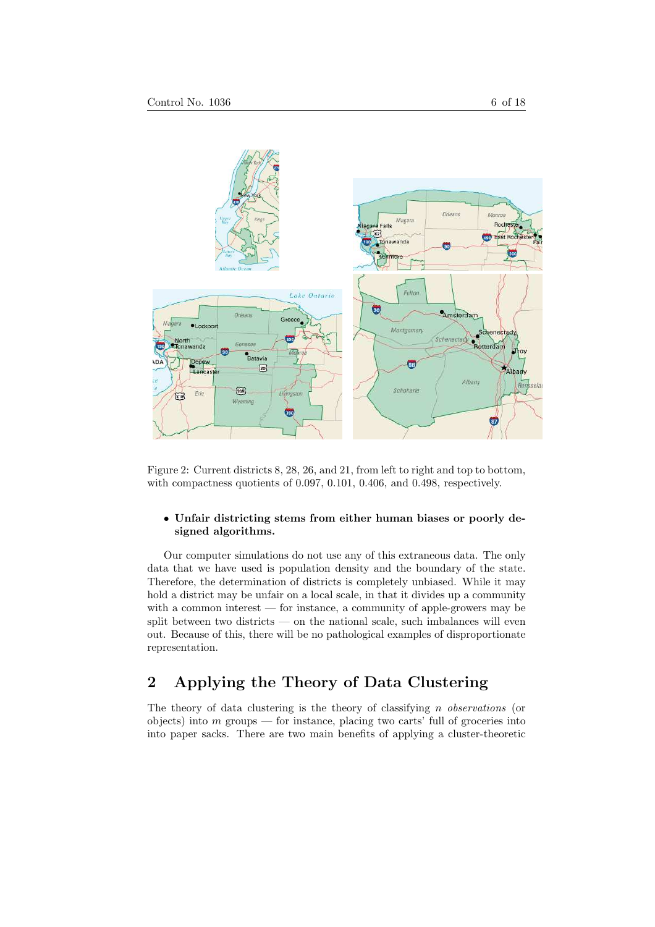



Figure 2: Current districts 8, 28, 26, and 21, from left to right and top to bottom, with compactness quotients of 0.097, 0.101, 0.406, and 0.498, respectively.

#### • Unfair districting stems from either human biases or poorly designed algorithms.

Our computer simulations do not use any of this extraneous data. The only data that we have used is population density and the boundary of the state. Therefore, the determination of districts is completely unbiased. While it may hold a district may be unfair on a local scale, in that it divides up a community with a common interest — for instance, a community of apple-growers may be split between two districts — on the national scale, such imbalances will even out. Because of this, there will be no pathological examples of disproportionate representation.

# 2 Applying the Theory of Data Clustering

The theory of data clustering is the theory of classifying  $n$  observations (or objects) into  $m$  groups — for instance, placing two carts' full of groceries into into paper sacks. There are two main benefits of applying a cluster-theoretic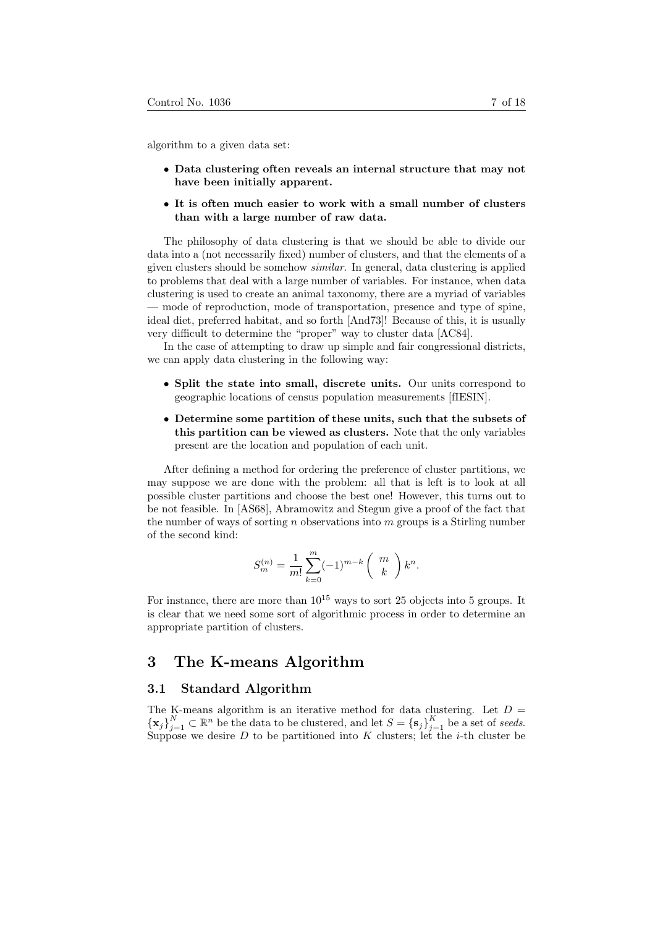algorithm to a given data set:

- Data clustering often reveals an internal structure that may not have been initially apparent.
- It is often much easier to work with a small number of clusters than with a large number of raw data.

The philosophy of data clustering is that we should be able to divide our data into a (not necessarily fixed) number of clusters, and that the elements of a given clusters should be somehow similar. In general, data clustering is applied to problems that deal with a large number of variables. For instance, when data clustering is used to create an animal taxonomy, there are a myriad of variables — mode of reproduction, mode of transportation, presence and type of spine, ideal diet, preferred habitat, and so forth [And73]! Because of this, it is usually very difficult to determine the "proper" way to cluster data [AC84].

In the case of attempting to draw up simple and fair congressional districts, we can apply data clustering in the following way:

- Split the state into small, discrete units. Our units correspond to geographic locations of census population measurements [fIESIN].
- Determine some partition of these units, such that the subsets of this partition can be viewed as clusters. Note that the only variables present are the location and population of each unit.

After defining a method for ordering the preference of cluster partitions, we may suppose we are done with the problem: all that is left is to look at all possible cluster partitions and choose the best one! However, this turns out to be not feasible. In [AS68], Abramowitz and Stegun give a proof of the fact that the number of ways of sorting n observations into  $m$  groups is a Stirling number of the second kind:

$$
S_m^{(n)} = \frac{1}{m!} \sum_{k=0}^m (-1)^{m-k} \binom{m}{k} k^n.
$$

For instance, there are more than  $10^{15}$  ways to sort 25 objects into 5 groups. It is clear that we need some sort of algorithmic process in order to determine an appropriate partition of clusters.

# 3 The K-means Algorithm

#### 3.1 Standard Algorithm

The K-means algorithm is an iterative method for data clustering. Let  $D =$  $\{\mathbf x_j\}_{j=1}^N\subset\mathbb R^n$  be the data to be clustered, and let  $S = {\{\mathbf s_j\}}_{j=1}^K$  be a set of seeds. Suppose we desire  $D$  to be partitioned into  $K$  clusters; let the *i*-th cluster be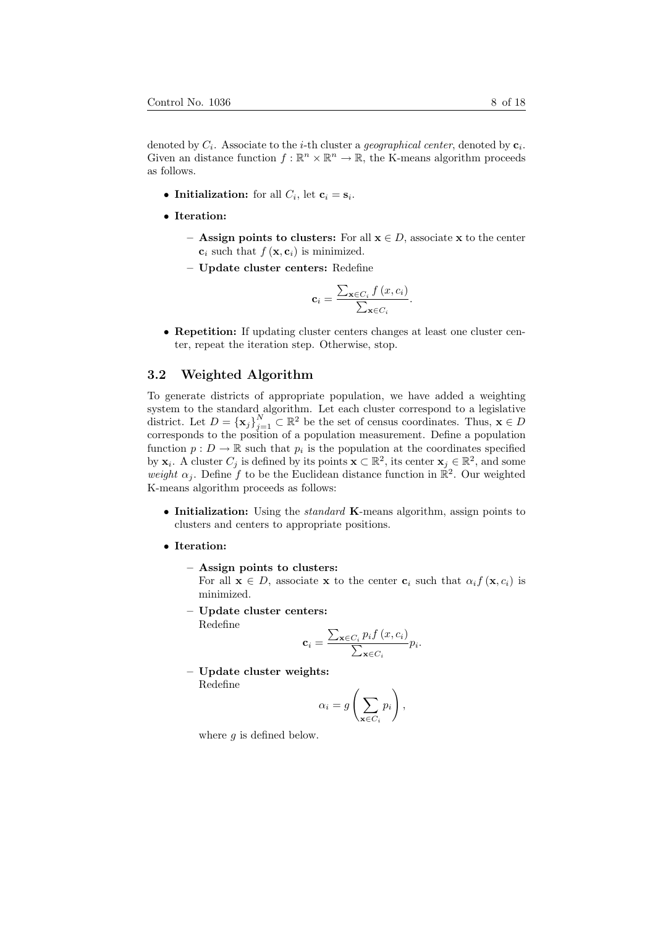denoted by  $C_i$ . Associate to the *i*-th cluster a *geographical center*, denoted by  $c_i$ . Given an distance function  $f : \mathbb{R}^n \times \mathbb{R}^n \to \mathbb{R}$ , the K-means algorithm proceeds as follows.

- Initialization: for all  $C_i$ , let  $\mathbf{c}_i = \mathbf{s}_i$ .
- Iteration:
	- **Assign points to clusters:** For all  $x \in D$ , associate x to the center  $\mathbf{c}_i$  such that  $f(\mathbf{x}, \mathbf{c}_i)$  is minimized.
	- Update cluster centers: Redefine

$$
\mathbf{c}_{i} = \frac{\sum_{\mathbf{x} \in C_{i}} f\left(x, c_{i}\right)}{\sum_{\mathbf{x} \in C_{i}}}
$$

.

• Repetition: If updating cluster centers changes at least one cluster center, repeat the iteration step. Otherwise, stop.

### 3.2 Weighted Algorithm

To generate districts of appropriate population, we have added a weighting system to the standard algorithm. Let each cluster correspond to a legislative district. Let  $D = {\{\mathbf{x}_j\}}_{j=1}^N \subset \mathbb{R}^2$  be the set of census coordinates. Thus,  $\mathbf{x} \in D$ corresponds to the position of a population measurement. Define a population function  $p: D \to \mathbb{R}$  such that  $p_i$  is the population at the coordinates specified by  $\mathbf{x}_i$ . A cluster  $C_j$  is defined by its points  $\mathbf{x} \subset \mathbb{R}^2$ , its center  $\mathbf{x}_j \in \mathbb{R}^2$ , and some weight  $\alpha_j$ . Define f to be the Euclidean distance function in  $\mathbb{R}^2$ . Our weighted K-means algorithm proceeds as follows:

- Initialization: Using the *standard* K-means algorithm, assign points to clusters and centers to appropriate positions.
- Iteration:
	- Assign points to clusters:

For all  $\mathbf{x} \in D$ , associate x to the center  $\mathbf{c}_i$  such that  $\alpha_i f(\mathbf{x}, c_i)$  is minimized.

– Update cluster centers: Redefine

$$
\mathbf{c}_{i} = \frac{\sum_{\mathbf{x} \in C_{i}} p_{i} f(x, c_{i})}{\sum_{\mathbf{x} \in C_{i}} p_{i}}.
$$

– Update cluster weights:

Redefine

$$
\alpha_i = g\left(\sum_{\mathbf{x} \in C_i} p_i\right),\,
$$

where  $q$  is defined below.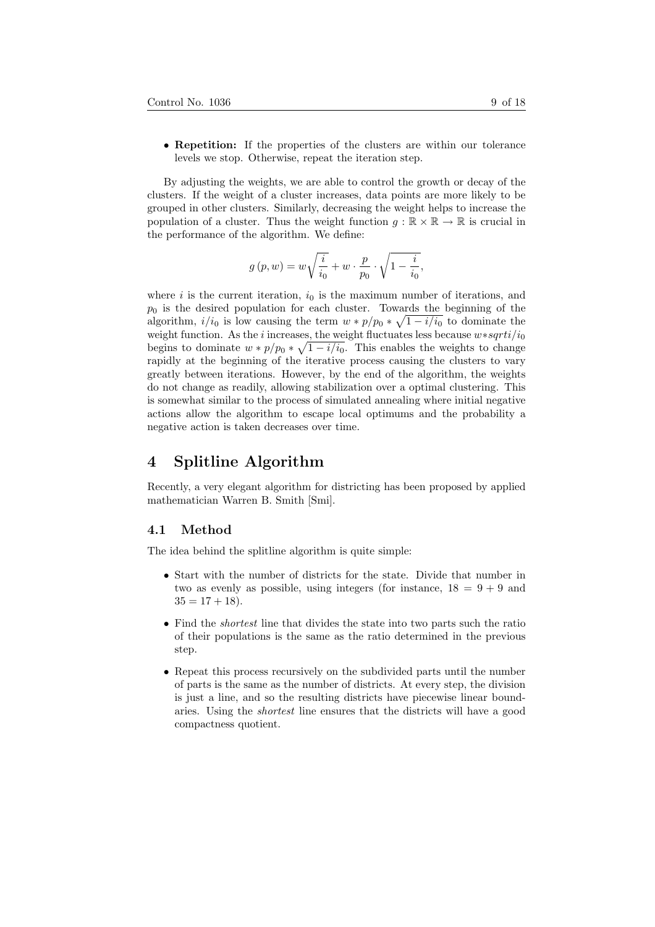• Repetition: If the properties of the clusters are within our tolerance levels we stop. Otherwise, repeat the iteration step.

By adjusting the weights, we are able to control the growth or decay of the clusters. If the weight of a cluster increases, data points are more likely to be grouped in other clusters. Similarly, decreasing the weight helps to increase the population of a cluster. Thus the weight function  $g : \mathbb{R} \times \mathbb{R} \to \mathbb{R}$  is crucial in the performance of the algorithm. We define:

$$
g\left(p,w\right)=w\sqrt{\frac{i}{i_0}}+w\cdot\frac{p}{p_0}\cdot\sqrt{1-\frac{i}{i_0}},
$$

where i is the current iteration,  $i_0$  is the maximum number of iterations, and  $p_0$  is the desired population for each cluster. Towards the beginning of the algorithm,  $i/i_0$  is low causing the term  $w * p/p_0 * \sqrt{1 - i/i_0}$  to dominate the weight function. As the *i* increases, the weight fluctuates less because  $w*sqrt{it}/i_0$ begins to dominate  $w * p/p_0 * \sqrt{1 - i/i_0}$ . This enables the weights to change rapidly at the beginning of the iterative process causing the clusters to vary greatly between iterations. However, by the end of the algorithm, the weights do not change as readily, allowing stabilization over a optimal clustering. This is somewhat similar to the process of simulated annealing where initial negative actions allow the algorithm to escape local optimums and the probability a negative action is taken decreases over time.

# 4 Splitline Algorithm

Recently, a very elegant algorithm for districting has been proposed by applied mathematician Warren B. Smith [Smi].

#### 4.1 Method

The idea behind the splitline algorithm is quite simple:

- Start with the number of districts for the state. Divide that number in two as evenly as possible, using integers (for instance,  $18 = 9 + 9$  and  $35 = 17 + 18$ .
- Find the *shortest* line that divides the state into two parts such the ratio of their populations is the same as the ratio determined in the previous step.
- Repeat this process recursively on the subdivided parts until the number of parts is the same as the number of districts. At every step, the division is just a line, and so the resulting districts have piecewise linear boundaries. Using the shortest line ensures that the districts will have a good compactness quotient.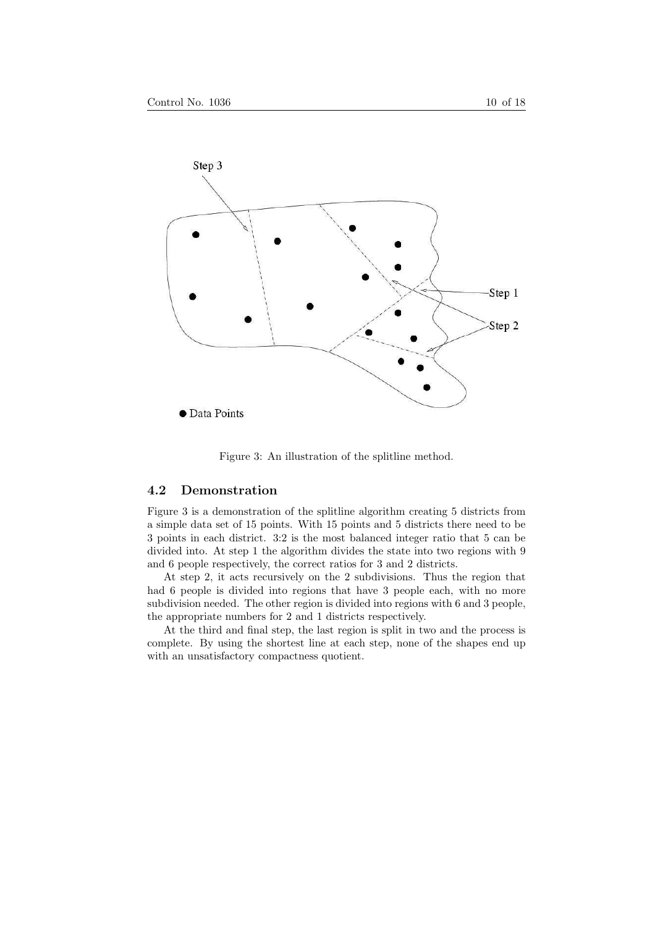



Figure 3: An illustration of the splitline method.

### 4.2 Demonstration

Figure 3 is a demonstration of the splitline algorithm creating 5 districts from a simple data set of 15 points. With 15 points and 5 districts there need to be 3 points in each district. 3:2 is the most balanced integer ratio that 5 can be divided into. At step 1 the algorithm divides the state into two regions with 9 and 6 people respectively, the correct ratios for 3 and 2 districts.

At step 2, it acts recursively on the 2 subdivisions. Thus the region that had 6 people is divided into regions that have 3 people each, with no more subdivision needed. The other region is divided into regions with 6 and 3 people, the appropriate numbers for 2 and 1 districts respectively.

At the third and final step, the last region is split in two and the process is complete. By using the shortest line at each step, none of the shapes end up with an unsatisfactory compactness quotient.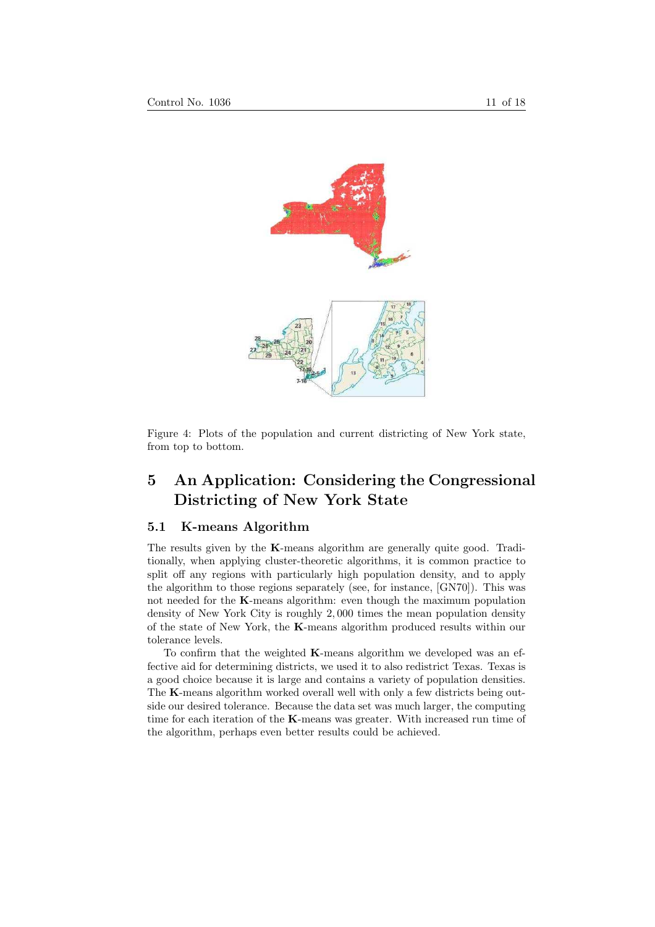

Figure 4: Plots of the population and current districting of New York state, from top to bottom.

# 5 An Application: Considering the Congressional Districting of New York State

### 5.1 K-means Algorithm

The results given by the K-means algorithm are generally quite good. Traditionally, when applying cluster-theoretic algorithms, it is common practice to split off any regions with particularly high population density, and to apply the algorithm to those regions separately (see, for instance, [GN70]). This was not needed for the K-means algorithm: even though the maximum population density of New York City is roughly 2, 000 times the mean population density of the state of New York, the K-means algorithm produced results within our tolerance levels.

To confirm that the weighted K-means algorithm we developed was an effective aid for determining districts, we used it to also redistrict Texas. Texas is a good choice because it is large and contains a variety of population densities. The K-means algorithm worked overall well with only a few districts being outside our desired tolerance. Because the data set was much larger, the computing time for each iteration of the K-means was greater. With increased run time of the algorithm, perhaps even better results could be achieved.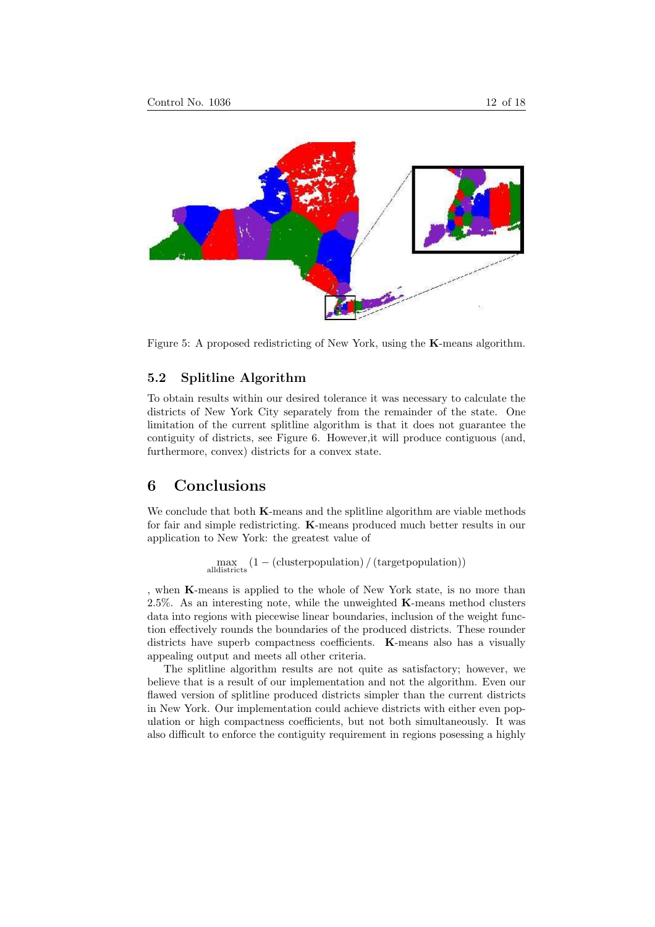

Figure 5: A proposed redistricting of New York, using the K-means algorithm.

### 5.2 Splitline Algorithm

To obtain results within our desired tolerance it was necessary to calculate the districts of New York City separately from the remainder of the state. One limitation of the current splitline algorithm is that it does not guarantee the contiguity of districts, see Figure 6. However,it will produce contiguous (and, furthermore, convex) districts for a convex state.

### 6 Conclusions

We conclude that both **K**-means and the splitline algorithm are viable methods for fair and simple redistricting. K-means produced much better results in our application to New York: the greatest value of

max alldistricts (1 − (clusterpopulation) / (targetpopulation))

, when K-means is applied to the whole of New York state, is no more than 2.5%. As an interesting note, while the unweighted  $\boldsymbol{K}$ -means method clusters data into regions with piecewise linear boundaries, inclusion of the weight function effectively rounds the boundaries of the produced districts. These rounder districts have superb compactness coefficients. **K**-means also has a visually appealing output and meets all other criteria.

The splitline algorithm results are not quite as satisfactory; however, we believe that is a result of our implementation and not the algorithm. Even our flawed version of splitline produced districts simpler than the current districts in New York. Our implementation could achieve districts with either even population or high compactness coefficients, but not both simultaneously. It was also difficult to enforce the contiguity requirement in regions posessing a highly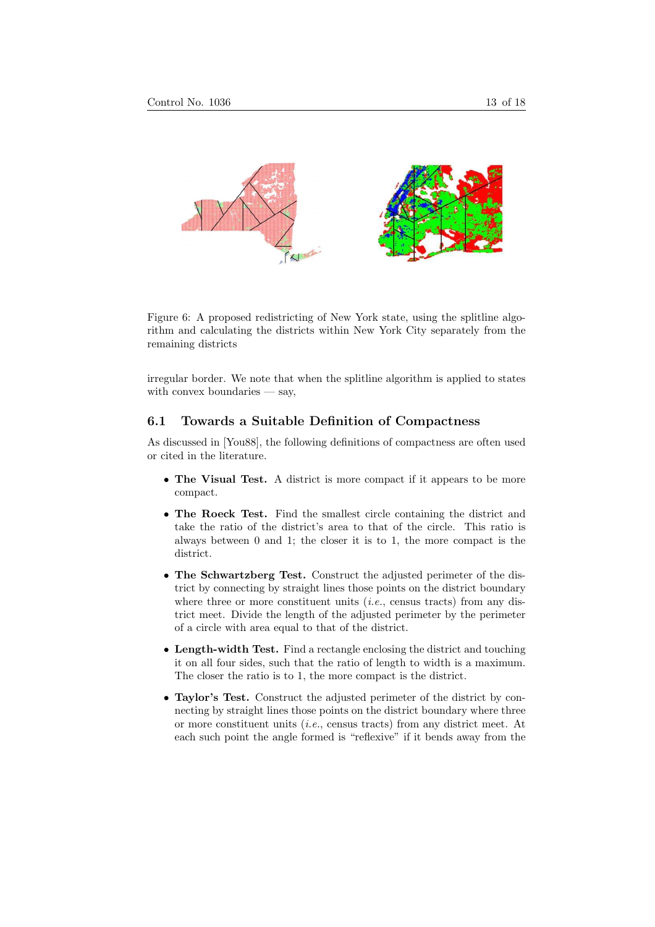

Figure 6: A proposed redistricting of New York state, using the splitline algorithm and calculating the districts within New York City separately from the remaining districts

irregular border. We note that when the splitline algorithm is applied to states with convex boundaries — say,

### 6.1 Towards a Suitable Definition of Compactness

As discussed in [You88], the following definitions of compactness are often used or cited in the literature.

- The Visual Test. A district is more compact if it appears to be more compact.
- The Roeck Test. Find the smallest circle containing the district and take the ratio of the district's area to that of the circle. This ratio is always between 0 and 1; the closer it is to 1, the more compact is the district.
- The Schwartzberg Test. Construct the adjusted perimeter of the district by connecting by straight lines those points on the district boundary where three or more constituent units  $(i.e.,$  census tracts) from any district meet. Divide the length of the adjusted perimeter by the perimeter of a circle with area equal to that of the district.
- Length-width Test. Find a rectangle enclosing the district and touching it on all four sides, such that the ratio of length to width is a maximum. The closer the ratio is to 1, the more compact is the district.
- Taylor's Test. Construct the adjusted perimeter of the district by connecting by straight lines those points on the district boundary where three or more constituent units (i.e., census tracts) from any district meet. At each such point the angle formed is "reflexive" if it bends away from the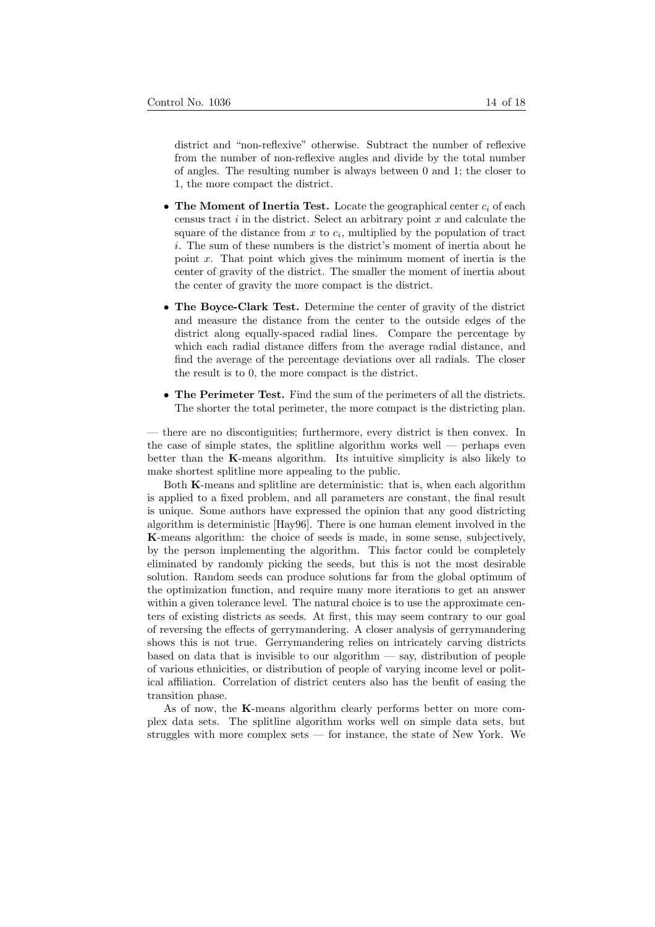district and "non-reflexive" otherwise. Subtract the number of reflexive from the number of non-reflexive angles and divide by the total number of angles. The resulting number is always between 0 and 1; the closer to 1, the more compact the district.

- The Moment of Inertia Test. Locate the geographical center  $c_i$  of each census tract  $i$  in the district. Select an arbitrary point  $x$  and calculate the square of the distance from  $x$  to  $c_i$ , multiplied by the population of tract i. The sum of these numbers is the district's moment of inertia about he point  $x$ . That point which gives the minimum moment of inertia is the center of gravity of the district. The smaller the moment of inertia about the center of gravity the more compact is the district.
- The Boyce-Clark Test. Determine the center of gravity of the district and measure the distance from the center to the outside edges of the district along equally-spaced radial lines. Compare the percentage by which each radial distance differs from the average radial distance, and find the average of the percentage deviations over all radials. The closer the result is to 0, the more compact is the district.
- The Perimeter Test. Find the sum of the perimeters of all the districts. The shorter the total perimeter, the more compact is the districting plan.

— there are no discontiguities; furthermore, every district is then convex. In the case of simple states, the splitline algorithm works well  $-$  perhaps even better than the K-means algorithm. Its intuitive simplicity is also likely to make shortest splitline more appealing to the public.

Both K-means and splitline are deterministic: that is, when each algorithm is applied to a fixed problem, and all parameters are constant, the final result is unique. Some authors have expressed the opinion that any good districting algorithm is deterministic [Hay96]. There is one human element involved in the K-means algorithm: the choice of seeds is made, in some sense, subjectively, by the person implementing the algorithm. This factor could be completely eliminated by randomly picking the seeds, but this is not the most desirable solution. Random seeds can produce solutions far from the global optimum of the optimization function, and require many more iterations to get an answer within a given tolerance level. The natural choice is to use the approximate centers of existing districts as seeds. At first, this may seem contrary to our goal of reversing the effects of gerrymandering. A closer analysis of gerrymandering shows this is not true. Gerrymandering relies on intricately carving districts based on data that is invisible to our algorithm — say, distribution of people of various ethnicities, or distribution of people of varying income level or political affiliation. Correlation of district centers also has the benfit of easing the transition phase.

As of now, the K-means algorithm clearly performs better on more complex data sets. The splitline algorithm works well on simple data sets, but struggles with more complex sets — for instance, the state of New York. We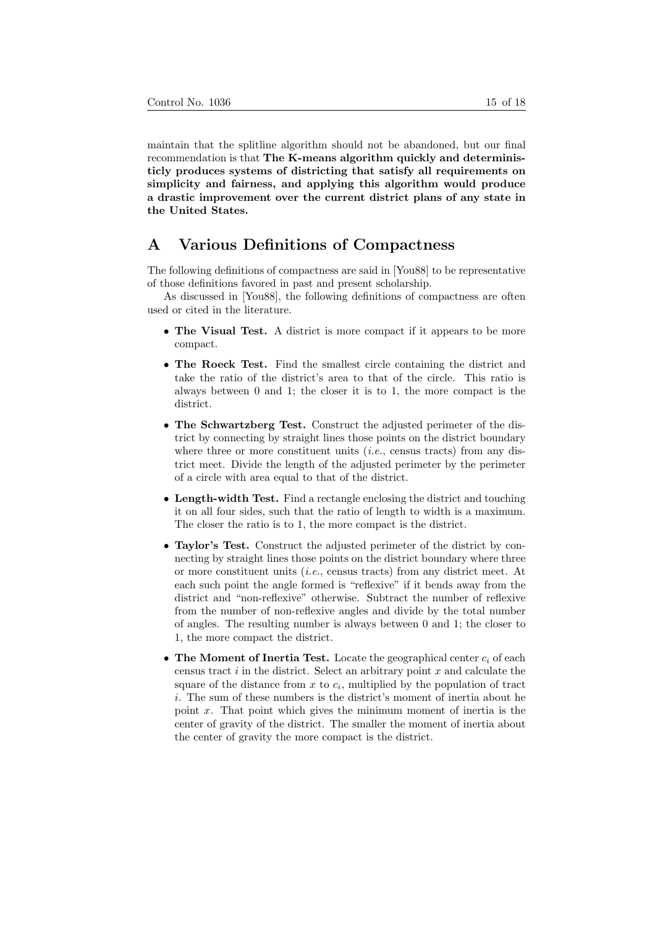maintain that the splitline algorithm should not be abandoned, but our final recommendation is that The K-means algorithm quickly and deterministicly produces systems of districting that satisfy all requirements on simplicity and fairness, and applying this algorithm would produce a drastic improvement over the current district plans of any state in the United States.

# A Various Definitions of Compactness

The following definitions of compactness are said in [You88] to be representative of those definitions favored in past and present scholarship.

As discussed in [You88], the following definitions of compactness are often used or cited in the literature.

- The Visual Test. A district is more compact if it appears to be more compact.
- The Roeck Test. Find the smallest circle containing the district and take the ratio of the district's area to that of the circle. This ratio is always between 0 and 1; the closer it is to 1, the more compact is the district.
- The Schwartzberg Test. Construct the adjusted perimeter of the district by connecting by straight lines those points on the district boundary where three or more constituent units  $(i.e.,$  census tracts) from any district meet. Divide the length of the adjusted perimeter by the perimeter of a circle with area equal to that of the district.
- Length-width Test. Find a rectangle enclosing the district and touching it on all four sides, such that the ratio of length to width is a maximum. The closer the ratio is to 1, the more compact is the district.
- Taylor's Test. Construct the adjusted perimeter of the district by connecting by straight lines those points on the district boundary where three or more constituent units (i.e., census tracts) from any district meet. At each such point the angle formed is "reflexive" if it bends away from the district and "non-reflexive" otherwise. Subtract the number of reflexive from the number of non-reflexive angles and divide by the total number of angles. The resulting number is always between 0 and 1; the closer to 1, the more compact the district.
- The Moment of Inertia Test. Locate the geographical center  $c_i$  of each census tract  $i$  in the district. Select an arbitrary point  $x$  and calculate the square of the distance from  $x$  to  $c_i$ , multiplied by the population of tract i. The sum of these numbers is the district's moment of inertia about he point x. That point which gives the minimum moment of inertia is the center of gravity of the district. The smaller the moment of inertia about the center of gravity the more compact is the district.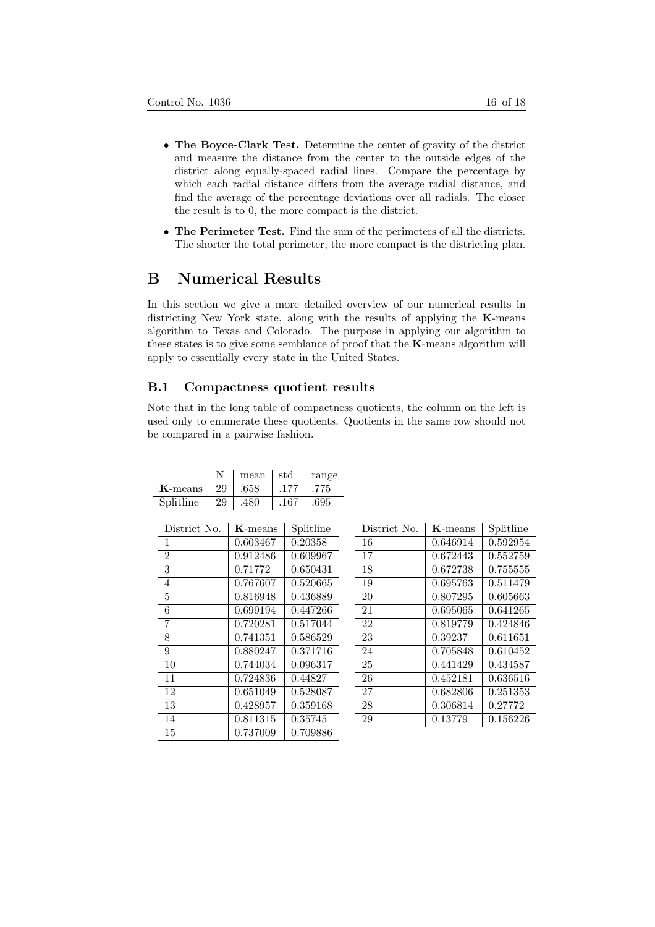- The Boyce-Clark Test. Determine the center of gravity of the district and measure the distance from the center to the outside edges of the district along equally-spaced radial lines. Compare the percentage by which each radial distance differs from the average radial distance, and find the average of the percentage deviations over all radials. The closer the result is to 0, the more compact is the district.
- The Perimeter Test. Find the sum of the perimeters of all the districts. The shorter the total perimeter, the more compact is the districting plan.

# B Numerical Results

In this section we give a more detailed overview of our numerical results in districting New York state, along with the results of applying the K-means algorithm to Texas and Colorado. The purpose in applying our algorithm to these states is to give some semblance of proof that the K-means algorithm will apply to essentially every state in the United States.

#### B.1 Compactness quotient results

Note that in the long table of compactness quotients, the column on the left is used only to enumerate these quotients. Quotients in the same row should not be compared in a pairwise fashion.

|            |    | mean | -std | range |
|------------|----|------|------|-------|
| $K$ -means | 29 | .658 | .177 | .775  |
| Splitline  | 29 | .480 | .167 | .695  |

| District No.   | $K$ -means | Splitline |
|----------------|------------|-----------|
| 1              | 0.603467   | 0.20358   |
| $\overline{2}$ | 0.912486   | 0.609967  |
| 3              | 0.71772    | 0.650431  |
| 4              | 0.767607   | 0.520665  |
| 5              | 0.816948   | 0.436889  |
| 6              | 0.699194   | 0.447266  |
| 7              | 0.720281   | 0.517044  |
| 8              | 0.741351   | 0.586529  |
| 9              | 0.880247   | 0.371716  |
| 10             | 0.744034   | 0.096317  |
| 11             | 0.724836   | 0.44827   |
| 12             | 0.651049   | 0.528087  |
| 13             | 0.428957   | 0.359168  |
| 14             | 0.811315   | 0.35745   |
| 15             | 0.737009   | 0.709886  |

| District No. | $K$ -means | Splitline |
|--------------|------------|-----------|
| 16           | 0.646914   | 0.592954  |
| 17           | 0.672443   | 0.552759  |
| 18           | 0.672738   | 0.755555  |
| 19           | 0.695763   | 0.511479  |
| 20           | 0.807295   | 0.605663  |
| 21           | 0.695065   | 0.641265  |
| 22           | 0.819779   | 0.424846  |
| 23           | 0.39237    | 0.611651  |
| 24           | 0.705848   | 0.610452  |
| 25           | 0.441429   | 0.434587  |
| 26           | 0.452181   | 0.636516  |
| 27           | 0.682806   | 0.251353  |
| 28           | 0.306814   | 0.27772   |
| 29           | 0.13779    | 0.156226  |
|              |            |           |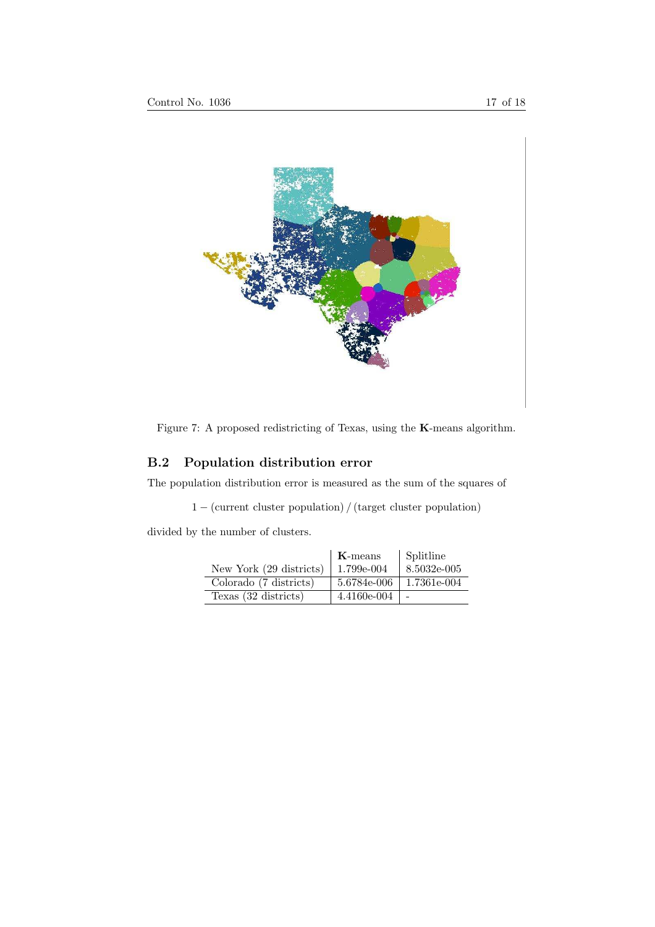



# B.2 Population distribution error

The population distribution error is measured as the sum of the squares of

1 − (current cluster population) / (target cluster population)

divided by the number of clusters.

|                         | $K$ -means  | <b>Splitline</b> |
|-------------------------|-------------|------------------|
| New York (29 districts) | 1.799e-004  | 8.5032e-005      |
| Colorado (7 districts)  | 5.6784e-006 | 1.7361e-004      |
| Texas (32 districts)    | 4.4160e-004 |                  |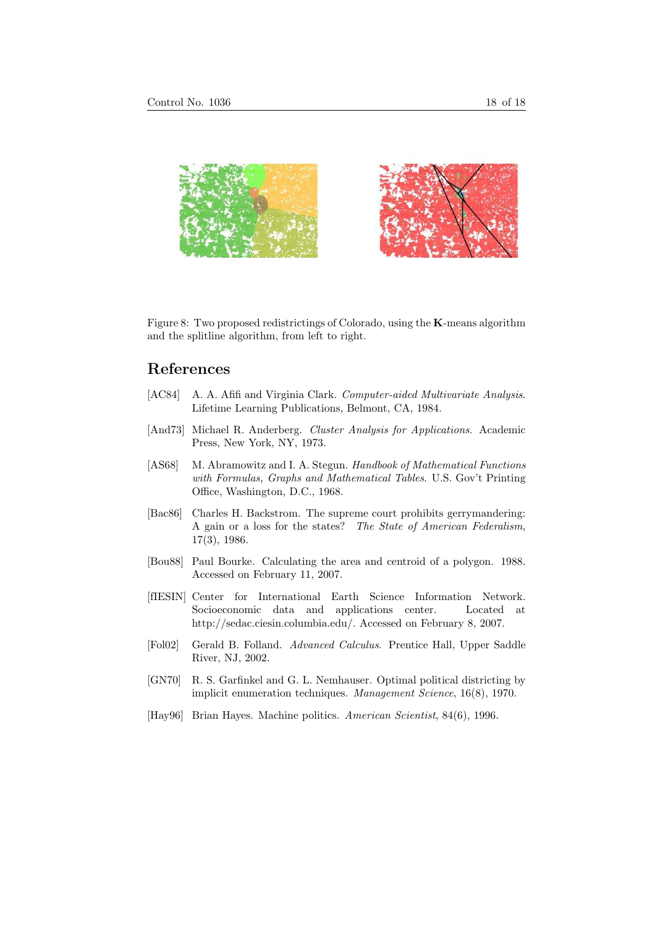

Figure 8: Two proposed redistrictings of Colorado, using the K-means algorithm and the splitline algorithm, from left to right.

### References

- [AC84] A. A. Afifi and Virginia Clark. Computer-aided Multivariate Analysis. Lifetime Learning Publications, Belmont, CA, 1984.
- [And73] Michael R. Anderberg. Cluster Analysis for Applications. Academic Press, New York, NY, 1973.
- [AS68] M. Abramowitz and I. A. Stegun. Handbook of Mathematical Functions with Formulas, Graphs and Mathematical Tables. U.S. Gov't Printing Office, Washington, D.C., 1968.
- [Bac86] Charles H. Backstrom. The supreme court prohibits gerrymandering: A gain or a loss for the states? The State of American Federalism, 17(3), 1986.
- [Bou88] Paul Bourke. Calculating the area and centroid of a polygon. 1988. Accessed on February 11, 2007.
- [fIESIN] Center for International Earth Science Information Network. Socioeconomic data and applications center. Located at http://sedac.ciesin.columbia.edu/. Accessed on February 8, 2007.
- [Fol02] Gerald B. Folland. Advanced Calculus. Prentice Hall, Upper Saddle River, NJ, 2002.
- [GN70] R. S. Garfinkel and G. L. Nemhauser. Optimal political districting by implicit enumeration techniques. Management Science, 16(8), 1970.
- [Hay96] Brian Hayes. Machine politics. American Scientist, 84(6), 1996.